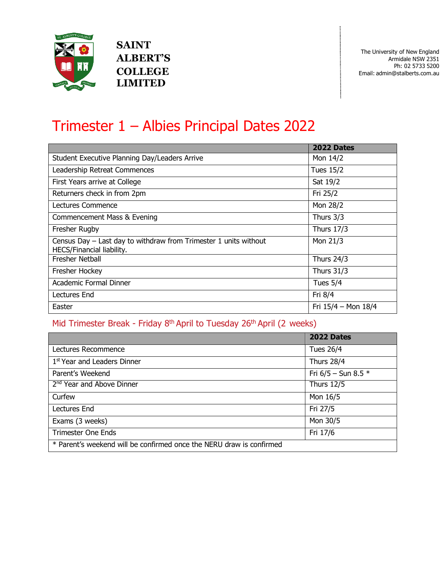

**SAINT ALBERT'S COLLEGE LIMITED**

ĵ

# Trimester 1 – Albies Principal Dates 2022

|                                                                                                 | 2022 Dates          |
|-------------------------------------------------------------------------------------------------|---------------------|
| Student Executive Planning Day/Leaders Arrive                                                   | Mon 14/2            |
| Leadership Retreat Commences                                                                    | Tues 15/2           |
| First Years arrive at College                                                                   | Sat 19/2            |
| Returners check in from 2pm                                                                     | Fri 25/2            |
| Lectures Commence                                                                               | Mon 28/2            |
| Commencement Mass & Evening                                                                     | Thurs 3/3           |
| Fresher Rugby                                                                                   | <b>Thurs 17/3</b>   |
| Census Day $-$ Last day to withdraw from Trimester 1 units without<br>HECS/Financial liability. | Mon 21/3            |
| <b>Fresher Netball</b>                                                                          | <b>Thurs 24/3</b>   |
| Fresher Hockey                                                                                  | Thurs $31/3$        |
| Academic Formal Dinner                                                                          | Tues $5/4$          |
| Lectures End                                                                                    | Fri 8/4             |
| Easter                                                                                          | Fri 15/4 - Mon 18/4 |

#### Mid Trimester Break - Friday 8<sup>th</sup> April to Tuesday 26<sup>th</sup> April (2 weeks)

|                                                                      | 2022 Dates              |
|----------------------------------------------------------------------|-------------------------|
| Lectures Recommence                                                  | <b>Tues 26/4</b>        |
| 1 <sup>st</sup> Year and Leaders Dinner                              | <b>Thurs 28/4</b>       |
| Parent's Weekend                                                     | Fri $6/5$ – Sun 8.5 $*$ |
| 2 <sup>nd</sup> Year and Above Dinner                                | <b>Thurs 12/5</b>       |
| Curfew                                                               | Mon 16/5                |
| Lectures End                                                         | Fri 27/5                |
| Exams (3 weeks)                                                      | Mon 30/5                |
| <b>Trimester One Ends</b>                                            | Fri 17/6                |
| * Parent's weekend will be confirmed once the NERU draw is confirmed |                         |